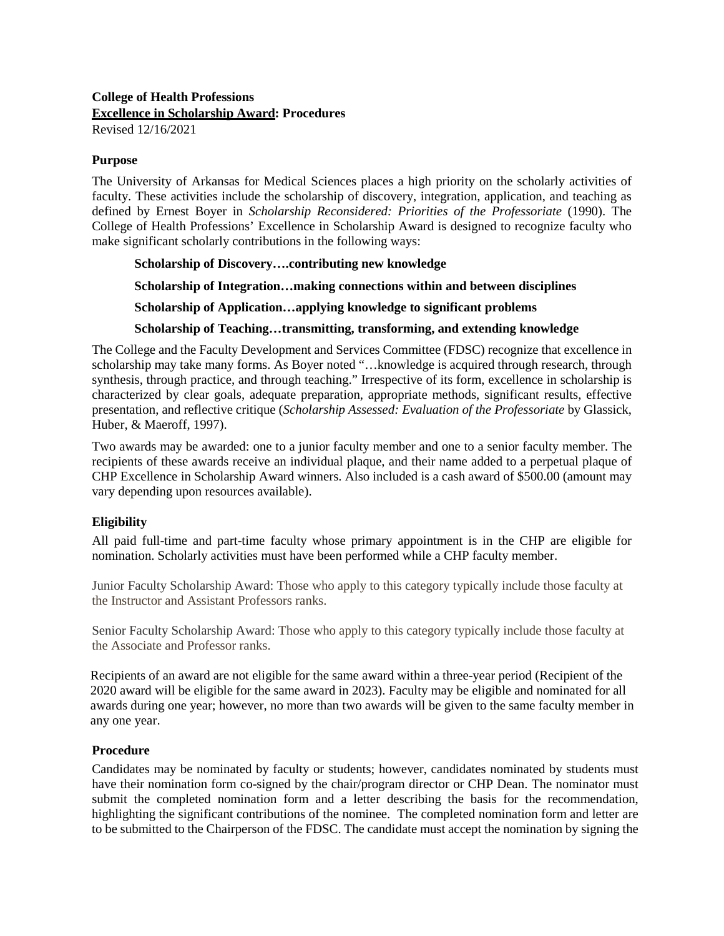## **College of Health Professions Excellence in Scholarship Award: Procedures** Revised 12/16/2021

#### **Purpose**

The University of Arkansas for Medical Sciences places a high priority on the scholarly activities of faculty. These activities include the scholarship of discovery, integration, application, and teaching as defined by Ernest Boyer in *Scholarship Reconsidered: Priorities of the Professoriate* (1990). The College of Health Professions' Excellence in Scholarship Award is designed to recognize faculty who make significant scholarly contributions in the following ways:

## **Scholarship of Discovery….contributing new knowledge**

**Scholarship of Integration…making connections within and between disciplines** 

**Scholarship of Application…applying knowledge to significant problems** 

#### **Scholarship of Teaching…transmitting, transforming, and extending knowledge**

The College and the Faculty Development and Services Committee (FDSC) recognize that excellence in scholarship may take many forms. As Boyer noted "…knowledge is acquired through research, through synthesis, through practice, and through teaching." Irrespective of its form, excellence in scholarship is characterized by clear goals, adequate preparation, appropriate methods, significant results, effective presentation, and reflective critique (*Scholarship Assessed: Evaluation of the Professoriate* by Glassick, Huber, & Maeroff, 1997).

Two awards may be awarded: one to a junior faculty member and one to a senior faculty member. The recipients of these awards receive an individual plaque, and their name added to a perpetual plaque of CHP Excellence in Scholarship Award winners. Also included is a cash award of \$500.00 (amount may vary depending upon resources available).

## **Eligibility**

All paid full-time and part-time faculty whose primary appointment is in the CHP are eligible for nomination. Scholarly activities must have been performed while a CHP faculty member.

Junior Faculty Scholarship Award: Those who apply to this category typically include those faculty at the Instructor and Assistant Professors ranks.

Senior Faculty Scholarship Award: Those who apply to this category typically include those faculty at the Associate and Professor ranks.

Recipients of an award are not eligible for the same award within a three-year period (Recipient of the 2020 award will be eligible for the same award in 2023). Faculty may be eligible and nominated for all awards during one year; however, no more than two awards will be given to the same faculty member in any one year.

## **Procedure**

Candidates may be nominated by faculty or students; however, candidates nominated by students must have their nomination form co-signed by the chair/program director or CHP Dean. The nominator must submit the completed nomination form and a letter describing the basis for the recommendation, highlighting the significant contributions of the nominee. The completed nomination form and letter are to be submitted to the Chairperson of the FDSC. The candidate must accept the nomination by signing the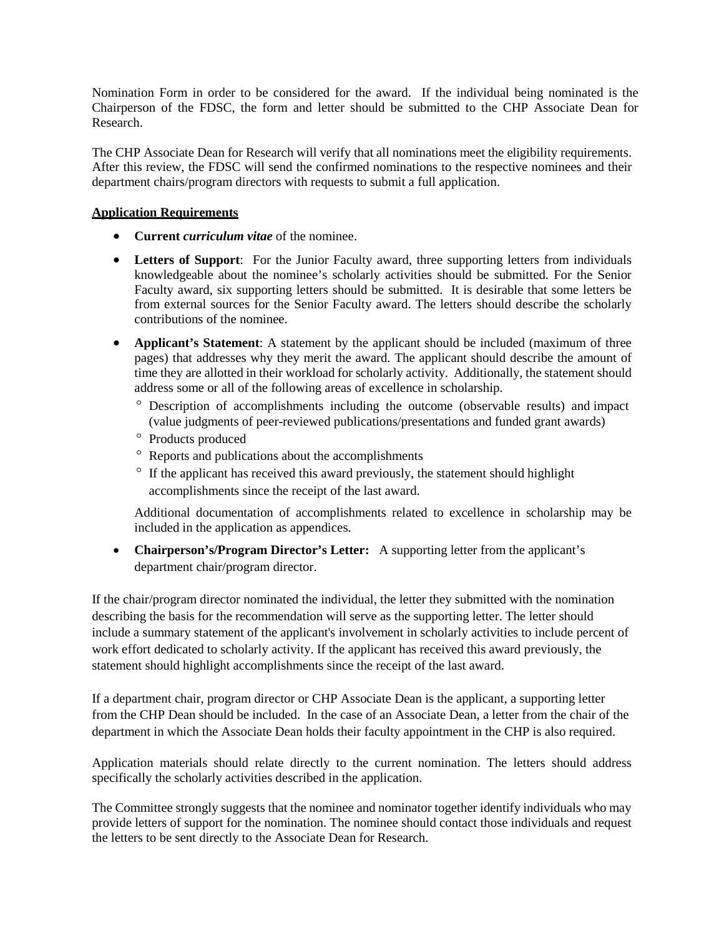Nomination Form in order to be considered for the award. If the individual being nominated is the Chairperson of the FDSC, the form and letter should be submitted to the CHP Associate Dean for Research.

The CHP Associate Dean for Research will verify that all nominations meet the eligibility requirements. After this review, the FDSC will send the confirmed nominations to the respective nominees and their department chairs/program directors with requests to submit a full application.

## **Application Requirements**

- **Current** *curriculum vitae* of the nominee.
- **Letters of Support**: For the Junior Faculty award, three supporting letters from individuals knowledgeable about the nominee's scholarly activities should be submitted. For the Senior Faculty award, six supporting letters should be submitted. It is desirable that some letters be from external sources for the Senior Faculty award. The letters should describe the scholarly contributions of the nominee.
- **Applicant's Statement:** A statement by the applicant should be included (maximum of three pages) that addresses why they merit the award. The applicant should describe the amount of time they are allotted in their workload for scholarly activity. Additionally, the statement should address some or all of the following areas of excellence in scholarship.
	- ° Description of accomplishments including the outcome (observable results) and impact (value judgments of peer-reviewed publications/presentations and funded grant awards)
	- ° Products produced
	- ° Reports and publications about the accomplishments
	- ° If the applicant has received this award previously, the statement should highlight accomplishments since the receipt of the last award.

Additional documentation of accomplishments related to excellence in scholarship may be included in the application as appendices.

• **Chairperson's/Program Director's Letter:** A supporting letter from the applicant's department chair/program director.

If the chair/program director nominated the individual, the letter they submitted with the nomination describing the basis for the recommendation will serve as the supporting letter. The letter should include a summary statement of the applicant's involvement in scholarly activities to include percent of work effort dedicated to scholarly activity. If the applicant has received this award previously, the statement should highlight accomplishments since the receipt of the last award.

If a department chair, program director or CHP Associate Dean is the applicant, a supporting letter from the CHP Dean should be included. In the case of an Associate Dean, a letter from the chair of the department in which the Associate Dean holds their faculty appointment in the CHP is also required.

Application materials should relate directly to the current nomination. The letters should address specifically the scholarly activities described in the application.

The Committee strongly suggests that the nominee and nominator together identify individuals who may provide letters of support for the nomination. The nominee should contact those individuals and request the letters to be sent directly to the Associate Dean for Research.